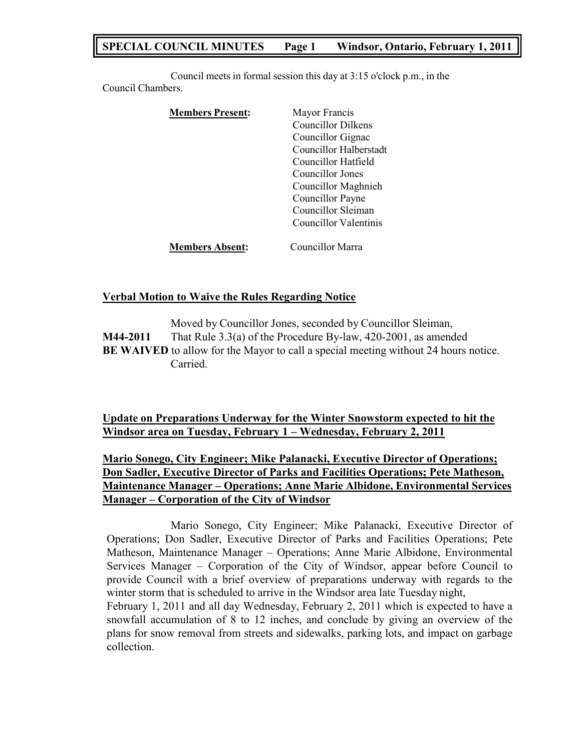# **SPECIAL COUNCIL MINUTES Page 1 Windsor, Ontario, February 1, 2011**

Council meets in formal session this day at 3:15 o'clock p.m., in the Council Chambers.

| <b>Members Present:</b> | Mayor Francis             |
|-------------------------|---------------------------|
|                         | <b>Councillor Dilkens</b> |
|                         | Councillor Gignac         |
|                         | Councillor Halberstadt    |
|                         | Councillor Hatfield       |
|                         | Councillor Jones          |
|                         | Councillor Maghnieh       |
|                         | Councillor Payne          |
|                         | Councillor Sleiman        |
|                         | Councillor Valentinis     |
| <b>Members Absent:</b>  | Councillor Marra          |

## **Verbal Motion to Waive the Rules Regarding Notice**

collection.

Moved by Councillor Jones, seconded by Councillor Sleiman, **M44-2011** That Rule 3.3(a) of the Procedure By-law, 420-2001, as amended **BE WAIVED** to allow for the Mayor to call a special meeting without 24 hours notice. Carried.

**Update on Preparations Underway for the Winter Snowstorm expected to hit the Windsor area on Tuesday, February 1 – Wednesday, February 2, 2011**

# **Mario Sonego, City Engineer; Mike Palanacki, Executive Director of Operations; Don Sadler, Executive Director of Parks and Facilities Operations; Pete Matheson, Maintenance Manager – Operations; Anne Marie Albidone, Environmental Services Manager – Corporation of the City of Windsor**

Mario Sonego, City Engineer; Mike Palanacki, Executive Director of Operations; Don Sadler, Executive Director of Parks and Facilities Operations; Pete Matheson, Maintenance Manager – Operations; Anne Marie Albidone, Environmental Services Manager – Corporation of the City of Windsor, appear before Council to provide Council with a brief overview of preparations underway with regards to the winter storm that is scheduled to arrive in the Windsor area late Tuesday night, February 1, 2011 and all day Wednesday, February 2, 2011 which is expected to have a snowfall accumulation of 8 to 12 inches, and conclude by giving an overview of the plans for snow removal from streets and sidewalks, parking lots, and impact on garbage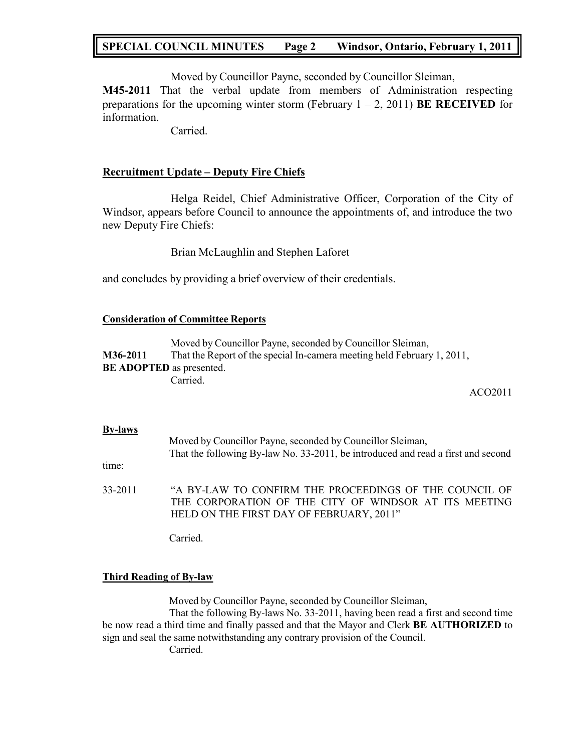# **SPECIAL COUNCIL MINUTES Page 2 Windsor, Ontario, February 1, 2011**

Moved by Councillor Payne, seconded by Councillor Sleiman,

**M45-2011** That the verbal update from members of Administration respecting preparations for the upcoming winter storm (February  $1 - 2$ , 2011) **BE RECEIVED** for information.

Carried.

## **Recruitment Update – Deputy Fire Chiefs**

Helga Reidel, Chief Administrative Officer, Corporation of the City of Windsor, appears before Council to announce the appointments of, and introduce the two new Deputy Fire Chiefs:

Brian McLaughlin and Stephen Laforet

and concludes by providing a brief overview of their credentials.

## **Consideration of Committee Reports**

Moved by Councillor Payne, seconded by Councillor Sleiman, **M36-2011** That the Report of the special In-camera meeting held February 1, 2011, **BE ADOPTED** as presented. Carried.

ACO2011

## **By-laws**

|         | Moved by Councillor Payne, seconded by Councillor Sleiman,                       |  |  |
|---------|----------------------------------------------------------------------------------|--|--|
|         | That the following By-law No. 33-2011, be introduced and read a first and second |  |  |
| time:   |                                                                                  |  |  |
| 33-2011 | "A BY-LAW TO CONFIRM THE PROCEEDINGS OF THE COUNCIL OF                           |  |  |
|         | THE CORPORATION OF THE CITY OF WINDSOR AT ITS MEETING                            |  |  |

Carried.

## **Third Reading of By-law**

Moved by Councillor Payne, seconded by Councillor Sleiman,

HELD ON THE FIRST DAY OF FEBRUARY, 2011"

That the following By-laws No. 33-2011, having been read a first and second time be now read a third time and finally passed and that the Mayor and Clerk **BE AUTHORIZED** to sign and seal the same notwithstanding any contrary provision of the Council.

Carried.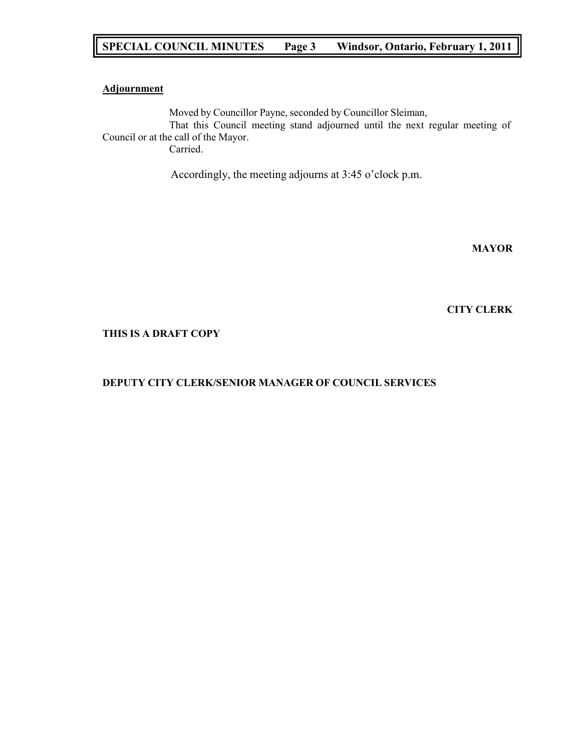# **SPECIAL COUNCIL MINUTES Page 3 Windsor, Ontario, February 1, 2011**

## **Adjournment**

Moved by Councillor Payne, seconded by Councillor Sleiman, That this Council meeting stand adjourned until the next regular meeting of Council or at the call of the Mayor. Carried.

Accordingly, the meeting adjourns at 3:45 o'clock p.m.

**MAYOR**

#### **CITY CLERK**

#### **THIS IS A DRAFT COPY**

## **DEPUTY CITY CLERK/SENIOR MANAGER OF COUNCIL SERVICES**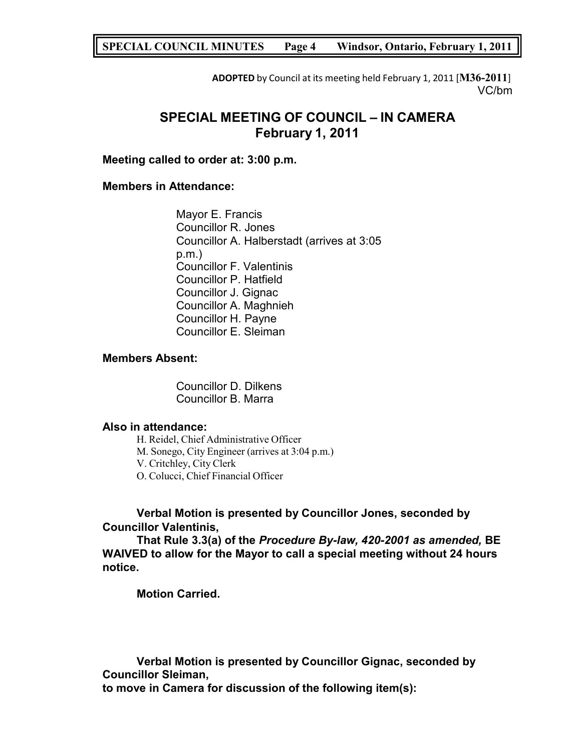## **SPECIAL COUNCIL MINUTES Page 4 Windsor, Ontario, February 1, 2011**

**ADOPTED** by Council at its meeting held February 1, 2011 [**M36-2011**] VC/bm

# **SPECIAL MEETING OF COUNCIL – IN CAMERA February 1, 2011**

## **Meeting called to order at: 3:00 p.m.**

## **Members in Attendance:**

Mayor E. Francis Councillor R. Jones Councillor A. Halberstadt (arrives at 3:05 p.m.) Councillor F. Valentinis Councillor P. Hatfield Councillor J. Gignac Councillor A. Maghnieh Councillor H. Payne Councillor E. Sleiman

#### **Members Absent:**

Councillor D. Dilkens Councillor B. Marra

## **Also in attendance:**

H. Reidel, Chief Administrative Officer M. Sonego, City Engineer (arrives at 3:04 p.m.) V. Critchley, City Clerk O. Colucci, Chief Financial Officer

## **Verbal Motion is presented by Councillor Jones, seconded by Councillor Valentinis,**

**That Rule 3.3(a) of the** *Procedure By-law, 420-2001 as amended,* **BE WAIVED to allow for the Mayor to call a special meeting without 24 hours notice.**

**Motion Carried.**

**Verbal Motion is presented by Councillor Gignac, seconded by Councillor Sleiman, to move in Camera for discussion of the following item(s):**